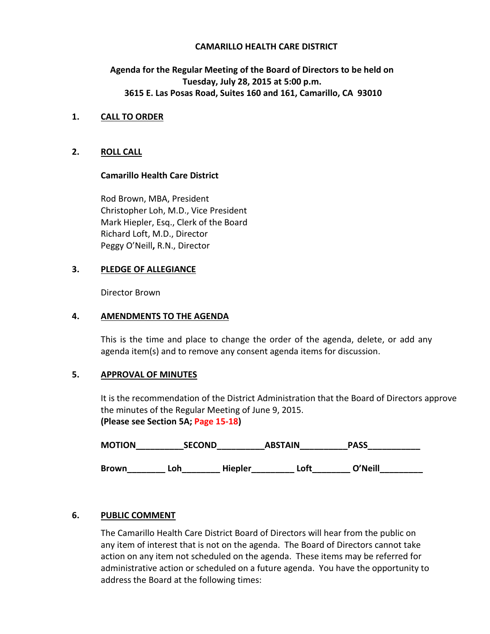## **CAMARILLO HEALTH CARE DISTRICT**

# **Agenda for the Regular Meeting of the Board of Directors to be held on Tuesday, July 28, 2015 at 5:00 p.m. 3615 E. Las Posas Road, Suites 160 and 161, Camarillo, CA 93010**

### **1. CALL TO ORDER**

## **2. ROLL CALL**

#### **Camarillo Health Care District**

Rod Brown, MBA, President Christopher Loh, M.D., Vice President Mark Hiepler, Esq., Clerk of the Board Richard Loft, M.D., Director Peggy O'Neill**,** R.N., Director

### **3. PLEDGE OF ALLEGIANCE**

Director Brown

## **4. AMENDMENTS TO THE AGENDA**

This is the time and place to change the order of the agenda, delete, or add any agenda item(s) and to remove any consent agenda items for discussion.

## **5. APPROVAL OF MINUTES**

It is the recommendation of the District Administration that the Board of Directors approve the minutes of the Regular Meeting of June 9, 2015. **(Please see Section 5A; Page 15-18)** 

| <b>MOTION</b> | <b>SECOND</b> |                | <b>ABSTAIN</b> | <b>PASS</b> |  |
|---------------|---------------|----------------|----------------|-------------|--|
| Brown         | Loh           | <b>Hiepler</b> | Loft           | O'Neill     |  |

## **6. PUBLIC COMMENT**

The Camarillo Health Care District Board of Directors will hear from the public on any item of interest that is not on the agenda. The Board of Directors cannot take action on any item not scheduled on the agenda. These items may be referred for administrative action or scheduled on a future agenda. You have the opportunity to address the Board at the following times: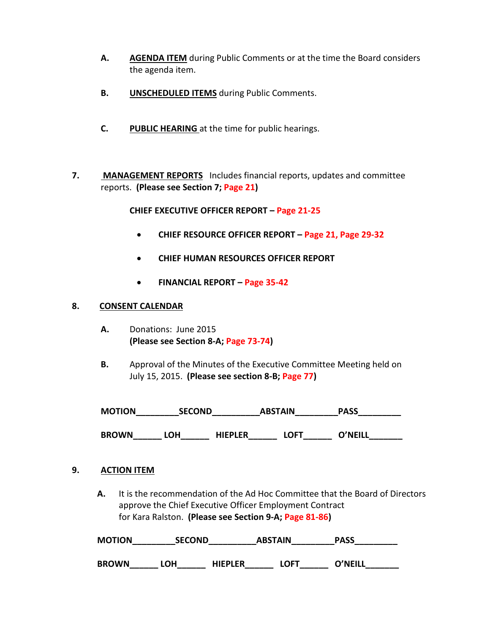- **A. AGENDA ITEM** during Public Comments or at the time the Board considers the agenda item.
- **B. UNSCHEDULED ITEMS** during Public Comments.
- **C. PUBLIC HEARING** at the time for public hearings.
- **7. MANAGEMENT REPORTS** Includes financial reports, updates and committee reports. **(Please see Section 7; Page 21)**

 **CHIEF EXECUTIVE OFFICER REPORT – Page 21-25** 

- **CHIEF RESOURCE OFFICER REPORT Page 21, Page 29-32**
- **CHIEF HUMAN RESOURCES OFFICER REPORT**
- **FINANCIAL REPORT Page 35-42**

### **8. CONSENT CALENDAR**

- **A.** Donations: June 2015  **(Please see Section 8-A; Page 73-74)**
- **B.** Approval of the Minutes of the Executive Committee Meeting held on July 15, 2015. **(Please see section 8-B; Page 77)**

| <b>MOTION</b> | <b>SECOND</b> |                | <b>ABSTAIN</b> | <b>PASS</b>    |
|---------------|---------------|----------------|----------------|----------------|
| <b>BROWN</b>  | .OH           | <b>HIEPLER</b> | LOFT           | <b>O'NEILL</b> |

## **9. ACTION ITEM**

**A.** It is the recommendation of the Ad Hoc Committee that the Board of Directors approve the Chief Executive Officer Employment Contract for Kara Ralston. **(Please see Section 9-A; Page 81-86)** 

| <b>MOTION</b> | <b>SECOND</b> | <b>ABSTAIN</b> | <b>PASS</b> |
|---------------|---------------|----------------|-------------|
|               |               |                |             |

**BROWN\_\_\_\_\_\_ LOH\_\_\_\_\_\_ HIEPLER\_\_\_\_\_\_ LOFT\_\_\_\_\_\_ O'NEILL\_\_\_\_\_\_\_**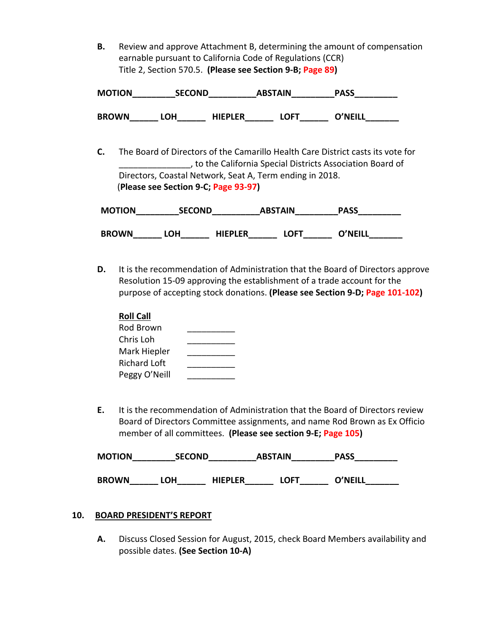**B.** Review and approve Attachment B, determining the amount of compensation earnable pursuant to California Code of Regulations (CCR) Title 2, Section 570.5. **(Please see Section 9-B; Page 89)** 

| <b>MOTION</b> | <b>SECOND</b> |                | <b>ABSTAIN</b> | <b>PASS</b> |
|---------------|---------------|----------------|----------------|-------------|
| <b>BROWN</b>  | LOH           | <b>HIEPLER</b> | LOFT           | O'NEILL     |

**C.** The Board of Directors of the Camarillo Health Care District casts its vote for \_\_\_\_\_\_\_\_\_\_\_\_\_\_\_, to the California Special Districts Association Board of Directors, Coastal Network, Seat A, Term ending in 2018. (**Please see Section 9-C; Page 93-97)** 

| <b>MOTION</b> | <b>SECOND</b> |                | <b>ABSTAIN</b> | <b>PASS</b> |
|---------------|---------------|----------------|----------------|-------------|
| <b>BROWN</b>  | .OH           | <b>HIEPLER</b> | LOFT           | O'NEILL     |

**D.** It is the recommendation of Administration that the Board of Directors approve Resolution 15-09 approving the establishment of a trade account for the purpose of accepting stock donations. **(Please see Section 9-D; Page 101-102)** 

| <b>Roll Call</b>    |  |
|---------------------|--|
| Rod Brown           |  |
| Chris Loh           |  |
| Mark Hiepler        |  |
| <b>Richard Loft</b> |  |
| Peggy O'Neill       |  |

**E.** It is the recommendation of Administration that the Board of Directors review Board of Directors Committee assignments, and name Rod Brown as Ex Officio member of all committees. **(Please see section 9-E; Page 105)** 

| <b>MOTION</b> | <b>SECOND</b> |                | <b>ABSTAIN</b> | <b>PASS</b>    |
|---------------|---------------|----------------|----------------|----------------|
| <b>BROWN</b>  | LOH           | <b>HIEPLER</b> | ∟OFT           | <b>O'NEILL</b> |

## **10. BOARD PRESIDENT'S REPORT**

**A.** Discuss Closed Session for August, 2015, check Board Members availability and possible dates. **(See Section 10-A)**